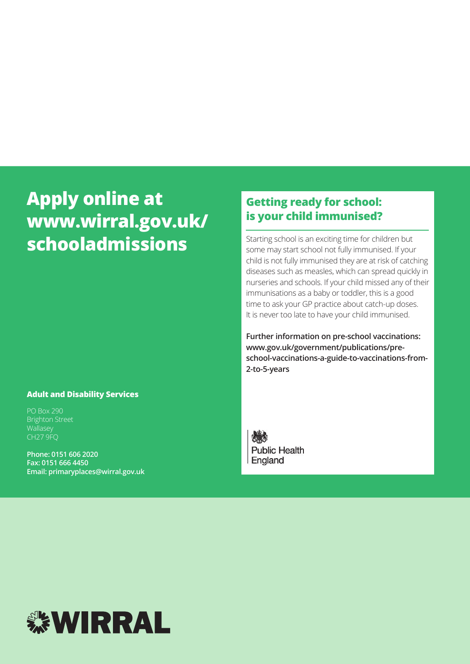# **Apply online at www.wirral.gov.uk/ schooladmissions**

#### **Adult and Disability Services**

PO Box 290 Brighton Street **Wallasey** CH27 9FQ

**Phone: 0151 606 2020 Fax: 0151 666 4450 Email: primaryplaces@wirral.gov.uk**

## **Getting ready for school: is your child immunised?**

Starting school is an exciting time for children but some may start school not fully immunised. If your child is not fully immunised they are at risk of catching diseases such as measles, which can spread quickly in nurseries and schools. If your child missed any of their immunisations as a baby or toddler, this is a good time to ask your GP practice about catch-up doses. It is never too late to have your child immunised.

**Further information on pre-school vaccinations: www.gov.uk/government/publications/preschool-vaccinations-a-guide-to-vaccinations-from-2-to-5-years**

**Public Health** England

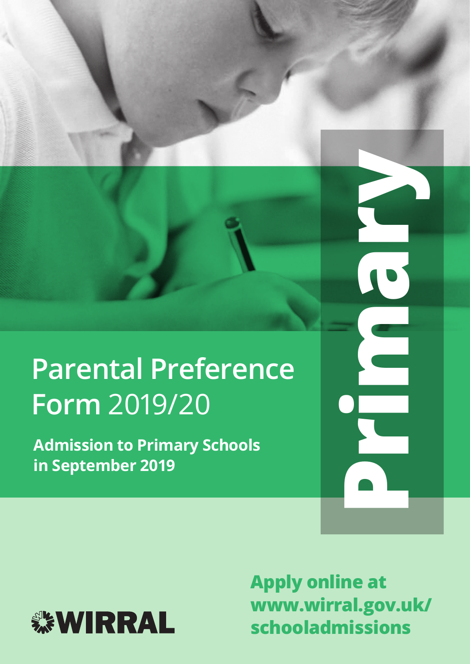# **Parental Preference Form** 2019/20

**Admission to Primary Schools in September 2019**



**Apply online at www.wirral.gov.uk/ schooladmissions**

**Primary**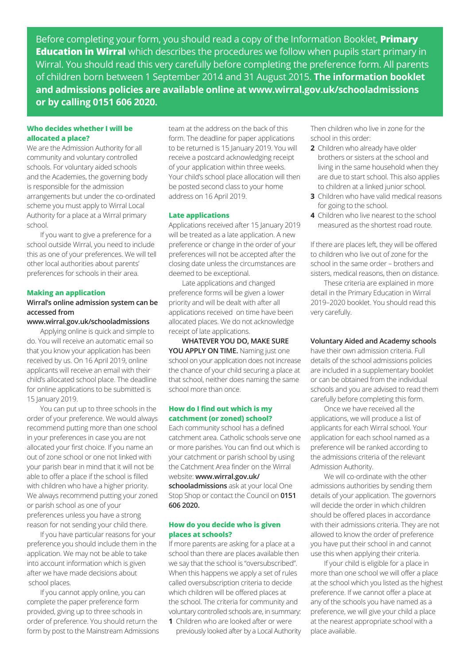Before completing your form, you should read a copy of the Information Booklet, **Primary Education in Wirral** which describes the procedures we follow when pupils start primary in Wirral. You should read this very carefully before completing the preference form. All parents of children born between 1 September 2014 and 31 August 2015. **The information booklet and admissions policies are available online at www.wirral.gov.uk/schooladmissions or by calling 0151 606 2020.**

#### **Who decides whether I will be allocated a place?**

We are the Admission Authority for all community and voluntary controlled schools. For voluntary aided schools and the Academies, the governing body is responsible for the admission arrangements but under the co-ordinated scheme you must apply to Wirral Local Authority for a place at a Wirral primary school.

If you want to give a preference for a school outside Wirral, you need to include this as one of your preferences. We will tell other local authorities about parents' preferences for schools in their area.

#### **Making an application**

#### **Wirral's online admission system can be accessed from**

#### **www.wirral.gov.uk/schooladmissions**

Applying online is quick and simple to do. You will receive an automatic email so that you know your application has been received by us. On 16 April 2019, online applicants will receive an email with their child's allocated school place. The deadline for online applications to be submitted is 15 January 2019.

You can put up to three schools in the order of your preference. We would always recommend putting more than one school in your preferences in case you are not allocated your first choice. If you name an out of zone school or one not linked with your parish bear in mind that it will not be able to offer a place if the school is filled with children who have a higher priority. We always recommend putting your zoned or parish school as one of your preferences unless you have a strong reason for not sending your child there.

If you have particular reasons for your preference you should include them in the application. We may not be able to take into account information which is given after we have made decisions about school places.

If you cannot apply online, you can complete the paper preference form provided, giving up to three schools in order of preference. You should return the form by post to the Mainstream Admissions

team at the address on the back of this form. The deadline for paper applications to be returned is 15 January 2019. You will receive a postcard acknowledging receipt of your application within three weeks. Your child's school place allocation will then be posted second class to your home address on 16 April 2019.

#### **Late applications**

Applications received after 15 January 2019 will be treated as a late application. A new preference or change in the order of your preferences will not be accepted after the closing date unless the circumstances are deemed to be exceptional.

Late applications and changed preference forms will be given a lower priority and will be dealt with after all applications received on time have been allocated places. We do not acknowledge receipt of late applications.

**WHATEVER YOU DO, MAKE SURE**  YOU APPLY ON TIME. Naming just one school on your application does not increase the chance of your child securing a place at that school, neither does naming the same school more than once.

#### **How do I find out which is my catchment (or zoned) school?**

Each community school has a defined catchment area. Catholic schools serve one or more parishes. You can find out which is your catchment or parish school by using the Catchment Area finder on the Wirral website: **www.wirral.gov.uk/ schooladmissions** ask at your local One

Stop Shop or contact the Council on **0151 606 2020.**

#### **How do you decide who is given places at schools?**

If more parents are asking for a place at a school than there are places available then we say that the school is "oversubscribed". When this happens we apply a set of rules called oversubscription criteria to decide which children will be offered places at the school. The criteria for community and voluntary controlled schools are, in summary: **1** Children who are looked after or were

previously looked after by a Local Authority

Then children who live in zone for the school in this order:

- **2** Children who already have older brothers or sisters at the school and living in the same household when they are due to start school. This also applies to children at a linked junior school.
- **3** Children who have valid medical reasons for going to the school.
- **4** Children who live nearest to the school measured as the shortest road route.

If there are places left, they will be offered to children who live out of zone for the school in the same order – brothers and sisters, medical reasons, then on distance.

These criteria are explained in more detail in the Primary Education in Wirral 2019–2020 booklet. You should read this very carefully.

#### **Voluntary Aided and Academy schools**

have their own admission criteria. Full details of the school admissions policies are included in a supplementary booklet or can be obtained from the individual schools and you are advised to read them carefully before completing this form.

Once we have received all the applications, we will produce a list of applicants for each Wirral school. Your application for each school named as a preference will be ranked according to the admissions criteria of the relevant Admission Authority.

We will co-ordinate with the other admissions authorities by sending them details of your application. The governors will decide the order in which children should be offered places in accordance with their admissions criteria. They are not allowed to know the order of preference you have put their school in and cannot use this when applying their criteria.

If your child is eligible for a place in more than one school we will offer a place at the school which you listed as the highest preference. If we cannot offer a place at any of the schools you have named as a preference, we will give your child a place at the nearest appropriate school with a place available.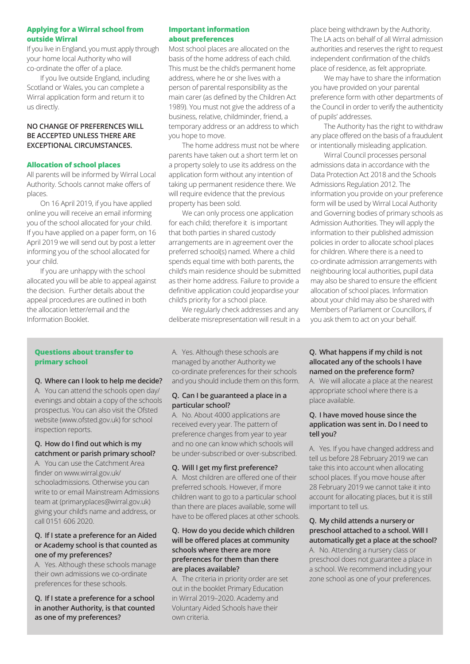#### **Applying for a Wirral school from outside Wirral**

If you live in England, you must apply through your home local Authority who will co-ordinate the offer of a place.

If you live outside England, including Scotland or Wales, you can complete a Wirral application form and return it to us directly.

#### **NO CHANGE OF PREFERENCES WILL BE ACCEPTED UNLESS THERE ARE EXCEPTIONAL CIRCUMSTANCES.**

#### **Allocation of school places**

All parents will be informed by Wirral Local Authority. Schools cannot make offers of places.

On 16 April 2019, if you have applied online you will receive an email informing you of the school allocated for your child. If you have applied on a paper form, on 16 April 2019 we will send out by post a letter informing you of the school allocated for your child.

If you are unhappy with the school allocated you will be able to appeal against the decision. Further details about the appeal procedures are outlined in both the allocation letter/email and the Information Booklet.

#### **Important information about preferences**

Most school places are allocated on the basis of the home address of each child. This must be the child's permanent home address, where he or she lives with a person of parental responsibility as the main carer (as defined by the Children Act 1989). You must not give the address of a business, relative, childminder, friend, a temporary address or an address to which you hope to move.

The home address must not be where parents have taken out a short term let on a property solely to use its address on the application form without any intention of taking up permanent residence there. We will require evidence that the previous property has been sold.

We can only process one application for each child; therefore it is important that both parties in shared custody arrangements are in agreement over the preferred school(s) named. Where a child spends equal time with both parents, the child's main residence should be submitted as their home address. Failure to provide a definitive application could jeopardise your child's priority for a school place.

We regularly check addresses and any deliberate misrepresentation will result in a place being withdrawn by the Authority. The LA acts on behalf of all Wirral admission authorities and reserves the right to request independent confirmation of the child's place of residence, as felt appropriate.

We may have to share the information you have provided on your parental preference form with other departments of the Council in order to verify the authenticity of pupils' addresses.

The Authority has the right to withdraw any place offered on the basis of a fraudulent or intentionally misleading application.

Wirral Council processes personal admissions data in accordance with the Data Protection Act 2018 and the Schools Admissions Regulation 2012. The information you provide on your preference form will be used by Wirral Local Authority and Governing bodies of primary schools as Admission Authorities. They will apply the information to their published admission policies in order to allocate school places for children. Where there is a need to co-ordinate admission arrangements with neighbouring local authorities, pupil data may also be shared to ensure the efficient allocation of school places. Information about your child may also be shared with Members of Parliament or Councillors, if you ask them to act on your behalf.

#### **Questions about transfer to primary school**

#### **Q. Where can I look to help me decide?**

A. You can attend the schools open day/ evenings and obtain a copy of the schools prospectus. You can also visit the Ofsted website (www.ofsted.gov.uk) for school inspection reports.

#### **Q. How do I find out which is my catchment or parish primary school?**

A. You can use the Catchment Area finder on www.wirral.gov.uk/ schooladmissions. Otherwise you can write to or email Mainstream Admissions team at (primaryplaces@wirral.gov.uk) giving your child's name and address, or call 0151 606 2020.

#### **Q. If I state a preference for an Aided or Academy school is that counted as one of my preferences?**

A. Yes. Although these schools manage their own admissions we co-ordinate preferences for these schools.

**Q. If I state a preference for a school in another Authority, is that counted as one of my preferences?**

A. Yes. Although these schools are managed by another Authority we co-ordinate preferences for their schools and you should include them on this form.

#### **Q. Can I be guaranteed a place in a particular school?**

A. No. About 4000 applications are received every year. The pattern of preference changes from year to year and no one can know which schools will be under-subscribed or over-subscribed.

#### **Q. Will I get my first preference?**

A. Most children are offered one of their preferred schools. However, if more children want to go to a particular school than there are places available, some will have to be offered places at other schools.

#### **Q. How do you decide which children will be offered places at community schools where there are more preferences for them than there are places available?**

A. The criteria in priority order are set out in the booklet Primary Education in Wirral 2019–2020. Academy and Voluntary Aided Schools have their own criteria.

#### **Q. What happens if my child is not allocated any of the schools I have named on the preference form?**

A. We will allocate a place at the nearest appropriate school where there is a place available.

#### **Q. I have moved house since the application was sent in. Do I need to tell you?**

A. Yes. If you have changed address and tell us before 28 February 2019 we can take this into account when allocating school places. If you move house after 28 February 2019 we cannot take it into account for allocating places, but it is still important to tell us.

**Q. My child attends a nursery or preschool attached to a school. Will I automatically get a place at the school?** A. No. Attending a nursery class or preschool does not guarantee a place in a school. We recommend including your zone school as one of your preferences.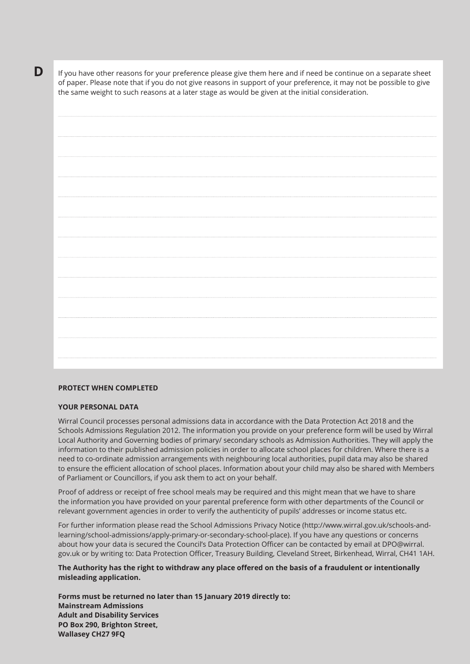**D** If you have other reasons for your preference please give them here and if need be continue on a separate sheet of paper. Please note that if you do not give reasons in support of your preference, it may not be possible to give the same weight to such reasons at a later stage as would be given at the initial consideration.

#### **PROTECT WHEN COMPLETED**

#### **YOUR PERSONAL DATA**

Wirral Council processes personal admissions data in accordance with the Data Protection Act 2018 and the Schools Admissions Regulation 2012. The information you provide on your preference form will be used by Wirral Local Authority and Governing bodies of primary/ secondary schools as Admission Authorities. They will apply the information to their published admission policies in order to allocate school places for children. Where there is a need to co-ordinate admission arrangements with neighbouring local authorities, pupil data may also be shared to ensure the efficient allocation of school places. Information about your child may also be shared with Members of Parliament or Councillors, if you ask them to act on your behalf.

Proof of address or receipt of free school meals may be required and this might mean that we have to share the information you have provided on your parental preference form with other departments of the Council or relevant government agencies in order to verify the authenticity of pupils' addresses or income status etc.

For further information please read the School Admissions Privacy Notice (http://www.wirral.gov.uk/schools-andlearning/school-admissions/apply-primary-or-secondary-school-place). If you have any questions or concerns about how your data is secured the Council's Data Protection Officer can be contacted by email at DPO@wirral. gov.uk or by writing to: Data Protection Officer, Treasury Building, Cleveland Street, Birkenhead, Wirral, CH41 1AH.

**The Authority has the right to withdraw any place offered on the basis of a fraudulent or intentionally misleading application.**

**Forms must be returned no later than 15 January 2019 directly to: Mainstream Admissions Adult and Disability Services PO Box 290, Brighton Street, Wallasey CH27 9FQ**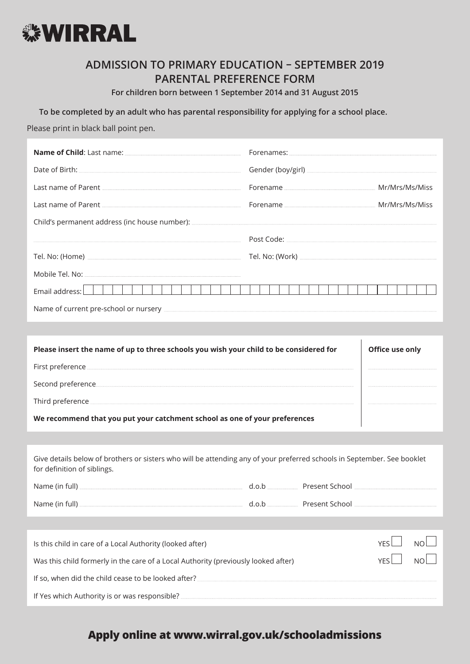

## **ADMISSION TO PRIMARY EDUCATION – SEPTEMBER 2019 PARENTAL PREFERENCE FORM**

**For children born between 1 September 2014 and 31 August 2015** 

**To be completed by an adult who has parental responsibility for applying for a school place.**

Please print in black ball point pen.

| Name of Child: Last name: <u>[44] Andrews and American and American and American and American and American and American and American and American and American and American and American and American and American and American </u> |  |                   |  |  |  |
|--------------------------------------------------------------------------------------------------------------------------------------------------------------------------------------------------------------------------------------|--|-------------------|--|--|--|
|                                                                                                                                                                                                                                      |  |                   |  |  |  |
|                                                                                                                                                                                                                                      |  |                   |  |  |  |
| Last name of Parent Material Communication of Parent Material Communication of Parent Material Communication of Parent Material Communication of Parent Material Communication of Parent Material Communication of Parent Mate       |  |                   |  |  |  |
|                                                                                                                                                                                                                                      |  |                   |  |  |  |
| er and the second contract of the second contract of the second contract of the second contract of the second contract of the second contract of the second contract of the second contract of the second contract of the seco       |  |                   |  |  |  |
|                                                                                                                                                                                                                                      |  |                   |  |  |  |
|                                                                                                                                                                                                                                      |  |                   |  |  |  |
| Email address:                                                                                                                                                                                                                       |  |                   |  |  |  |
| Name of current pre-school or nursery entertainment and the state of current pre-school or nursery                                                                                                                                   |  |                   |  |  |  |
|                                                                                                                                                                                                                                      |  |                   |  |  |  |
| Please insert the name of up to three schools you wish your child to be considered for                                                                                                                                               |  | Office use only   |  |  |  |
|                                                                                                                                                                                                                                      |  |                   |  |  |  |
|                                                                                                                                                                                                                                      |  |                   |  |  |  |
| Third preference <b>with the contract of the contract of the contract of the contract of the contract of the contract of the contract of the contract of the contract of the contract of the contract of the contract of the con</b> |  |                   |  |  |  |
| We recommend that you put your catchment school as one of your preferences                                                                                                                                                           |  |                   |  |  |  |
|                                                                                                                                                                                                                                      |  |                   |  |  |  |
| Give details below of brothers or sisters who will be attending any of your preferred schools in September. See booklet<br>for definition of siblings.                                                                               |  |                   |  |  |  |
|                                                                                                                                                                                                                                      |  |                   |  |  |  |
|                                                                                                                                                                                                                                      |  |                   |  |  |  |
|                                                                                                                                                                                                                                      |  |                   |  |  |  |
| Is this child in care of a Local Authority (looked after)                                                                                                                                                                            |  | <b>YES</b><br>NO. |  |  |  |
| YES<br>Was this child formerly in the care of a Local Authority (previously looked after)                                                                                                                                            |  |                   |  |  |  |
|                                                                                                                                                                                                                                      |  |                   |  |  |  |
| If Yes which Authority is or was responsible?                                                                                                                                                                                        |  |                   |  |  |  |

**Apply online at www.wirral.gov.uk/schooladmissions**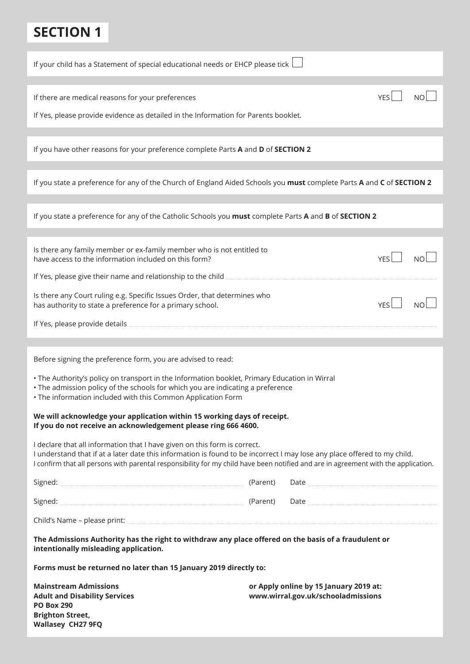# **SECTION 1**

| If your child has a Statement of special educational needs or EHCP please tick                                                                                                                                                                                                                                                                                                                                                                                |  |                                                                              |            |           |  |  |
|---------------------------------------------------------------------------------------------------------------------------------------------------------------------------------------------------------------------------------------------------------------------------------------------------------------------------------------------------------------------------------------------------------------------------------------------------------------|--|------------------------------------------------------------------------------|------------|-----------|--|--|
| If there are medical reasons for your preferences<br>If Yes, please provide evidence as detailed in the Information for Parents booklet.                                                                                                                                                                                                                                                                                                                      |  |                                                                              | <b>YES</b> |           |  |  |
| If you have other reasons for your preference complete Parts A and D of SECTION 2                                                                                                                                                                                                                                                                                                                                                                             |  |                                                                              |            |           |  |  |
| If you state a preference for any of the Church of England Aided Schools you must complete Parts A and C of SECTION 2                                                                                                                                                                                                                                                                                                                                         |  |                                                                              |            |           |  |  |
| If you state a preference for any of the Catholic Schools you must complete Parts A and B of SECTION 2                                                                                                                                                                                                                                                                                                                                                        |  |                                                                              |            |           |  |  |
| Is there any family member or ex-family member who is not entitled to<br>have access to the information included on this form?<br>If Yes, please give their name and relationship to the child <b>Sepannia and relationships</b>                                                                                                                                                                                                                              |  |                                                                              | <b>YFS</b> | <b>NO</b> |  |  |
| Is there any Court ruling e.g. Specific Issues Order, that determines who<br>has authority to state a preference for a primary school.                                                                                                                                                                                                                                                                                                                        |  |                                                                              | <b>YFS</b> |           |  |  |
|                                                                                                                                                                                                                                                                                                                                                                                                                                                               |  |                                                                              |            |           |  |  |
| Before signing the preference form, you are advised to read:<br>. The Authority's policy on transport in the Information booklet, Primary Education in Wirral<br>• The admission policy of the schools for which you are indicating a preference<br>. The information included with this Common Application Form<br>We will acknowledge your application within 15 working days of receipt.<br>If you do not receive an acknowledgement please ring 666 4600. |  |                                                                              |            |           |  |  |
| I declare that all information that I have given on this form is correct.<br>I understand that if at a later date this information is found to be incorrect I may lose any place offered to my child.<br>I confirm that all persons with parental responsibility for my child have been notified and are in agreement with the application.                                                                                                                   |  |                                                                              |            |           |  |  |
|                                                                                                                                                                                                                                                                                                                                                                                                                                                               |  |                                                                              |            |           |  |  |
|                                                                                                                                                                                                                                                                                                                                                                                                                                                               |  |                                                                              |            |           |  |  |
|                                                                                                                                                                                                                                                                                                                                                                                                                                                               |  |                                                                              |            |           |  |  |
| The Admissions Authority has the right to withdraw any place offered on the basis of a fraudulent or<br>intentionally misleading application.                                                                                                                                                                                                                                                                                                                 |  |                                                                              |            |           |  |  |
| Forms must be returned no later than 15 January 2019 directly to:                                                                                                                                                                                                                                                                                                                                                                                             |  |                                                                              |            |           |  |  |
| <b>Mainstream Admissions</b><br><b>Adult and Disability Services</b><br><b>PO Box 290</b><br><b>Brighton Street,</b><br>Wallasey CH27 9FQ                                                                                                                                                                                                                                                                                                                     |  | or Apply online by 15 January 2019 at:<br>www.wirral.gov.uk/schooladmissions |            |           |  |  |